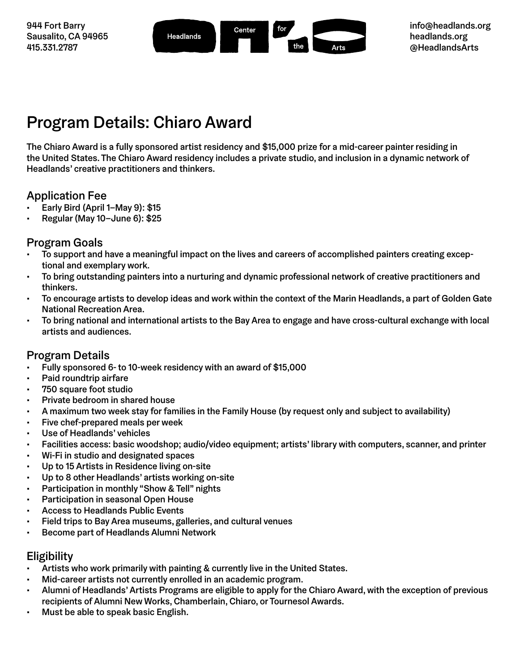

# Program Details: Chiaro Award

The Chiaro Award is a fully sponsored artist residency and \$15,000 prize for a mid-career painter residing in the United States. The Chiaro Award residency includes a private studio, and inclusion in a dynamic network of Headlands' creative practitioners and thinkers.

### Application Fee

- Early Bird (April 1–May 9): \$15
- Regular (May 10–June 6): \$25

## Program Goals

- To support and have a meaningful impact on the lives and careers of accomplished painters creating exceptional and exemplary work.
- To bring outstanding painters into a nurturing and dynamic professional network of creative practitioners and thinkers.
- To encourage artists to develop ideas and work within the context of the Marin Headlands, a part of Golden Gate National Recreation Area.
- To bring national and international artists to the Bay Area to engage and have cross-cultural exchange with local artists and audiences.

# Program Details

- Fully sponsored 6- to 10-week residency with an award of \$15,000
- Paid roundtrip airfare
- 750 square foot studio
- Private bedroom in shared house
- A maximum two week stay for families in the Family House (by request only and subject to availability)
- Five chef-prepared meals per week
- Use of Headlands' vehicles
- Facilities access: basic woodshop; audio/video equipment; artists' library with computers, scanner, and printer
- Wi-Fi in studio and designated spaces
- Up to 15 Artists in Residence living on-site
- Up to 8 other Headlands' artists working on-site
- Participation in monthly "Show & Tell" nights
- Participation in seasonal Open House
- Access to Headlands Public Events
- Field trips to Bay Area museums, galleries, and cultural venues
- Become part of Headlands Alumni Network

### Eligibility

- Artists who work primarily with painting & currently live in the United States.
- Mid-career artists not currently enrolled in an academic program.
- Alumni of Headlands' Artists Programs are eligible to apply for the Chiaro Award, with the exception of previous recipients of Alumni New Works, Chamberlain, Chiaro, or Tournesol Awards.
- Must be able to speak basic English.